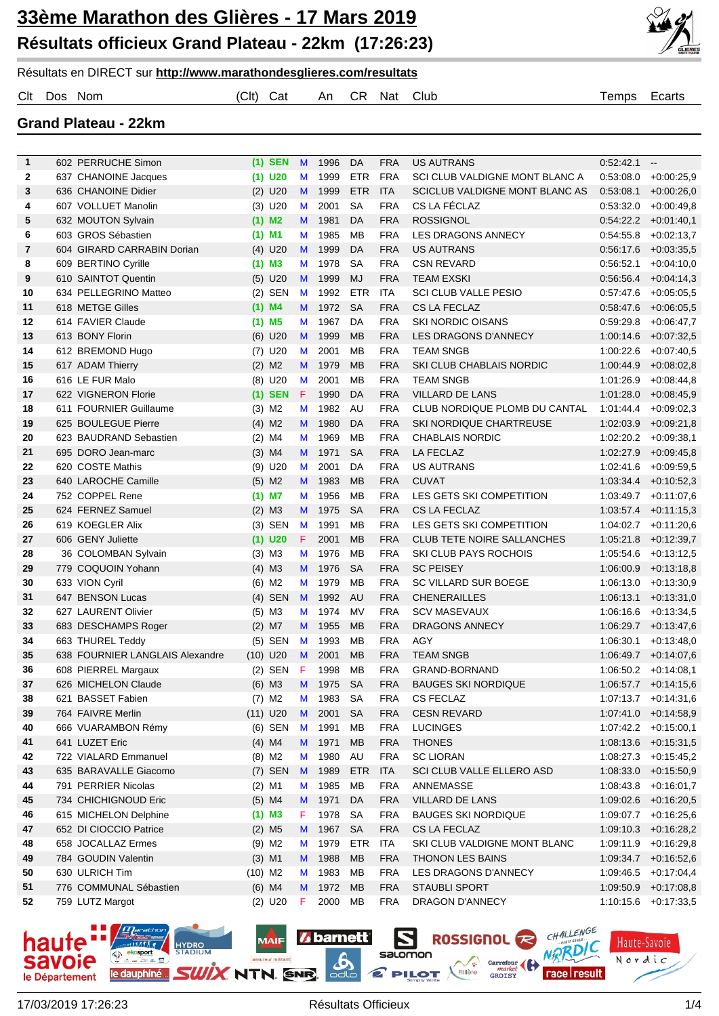

Résultats en DIRECT sur **http://www.marathondesglieres.com/resultats**

Clt Dos Nom (Clt) Cat An CR Nat Club Temps Ecarts

**Grand Plateau - 22km**

| $\mathbf{1}$ | 602 PERRUCHE Simon                            | $(1)$ SEN            | M           | 1996         | DA         | <b>FRA</b>               | <b>US AUTRANS</b>                             | 0:52:42.1              | $\overline{\phantom{a}}$               |
|--------------|-----------------------------------------------|----------------------|-------------|--------------|------------|--------------------------|-----------------------------------------------|------------------------|----------------------------------------|
| 2            | 637 CHANOINE Jacques                          | $(1)$ U20            | M           | 1999         | ETR        | <b>FRA</b>               | SCI CLUB VALDIGNE MONT BLANC A                | 0:53:08.0              | $+0.00:25,9$                           |
| 3            | 636 CHANOINE Didier                           | $(2)$ U20            | M           | 1999         | <b>ETR</b> | <b>ITA</b>               | SCICLUB VALDIGNE MONT BLANC AS                | 0.53:08.1              | $+0.00:26,0$                           |
| 4            | 607 VOLLUET Manolin                           | $(3)$ U20            | M           | 2001         | <b>SA</b>  | <b>FRA</b>               | CS LA FÉCLAZ                                  | 0:53:32.0              | $+0.00:49,8$                           |
| 5            | 632 MOUTON Sylvain                            | $(1)$ M <sub>2</sub> | M           | 1981         | DA         | <b>FRA</b>               | <b>ROSSIGNOL</b>                              | 0.54:22.2              | $+0.01:40,1$                           |
| 6            | 603 GROS Sébastien                            | $(1)$ M1             | M           | 1985         | MB         | <b>FRA</b>               | LES DRAGONS ANNECY                            | 0:54:55.8              | $+0.02:13,7$                           |
| 7            | 604 GIRARD CARRABIN Dorian                    | $(4)$ U20            | M           | 1999         | DA         | <b>FRA</b>               | <b>US AUTRANS</b>                             | 0.56:17.6              | $+0.03:35,5$                           |
| 8            | 609 BERTINO Cyrille                           | $(1)$ M3             | M           | 1978         | <b>SA</b>  | <b>FRA</b>               | <b>CSN REVARD</b>                             | 0:56:52.1              | $+0.04:10,0$                           |
| 9            | 610 SAINTOT Quentin                           | $(5)$ U20            | M           | 1999         | MJ         | <b>FRA</b>               | <b>TEAM EXSKI</b>                             | 0:56:56.4              | $+0.04:14,3$                           |
| 10           | 634 PELLEGRINO Matteo                         | $(2)$ SEN            | M           | 1992         | ETR        | <b>ITA</b>               | <b>SCI CLUB VALLE PESIO</b>                   | 0:57:47.6              | $+0.05:05,5$                           |
| 11           | 618 METGE Gilles                              | $(1)$ M4             | M           | 1972         | <b>SA</b>  | <b>FRA</b>               | <b>CS LA FECLAZ</b>                           | 0:58:47.6              | $+0.06:05,5$                           |
| 12           | 614 FAVIER Claude                             | $(1)$ M <sub>5</sub> | M           | 1967         | DA         | <b>FRA</b>               | <b>SKI NORDIC OISANS</b>                      | 0.59.29.8              | $+0.06:47.7$                           |
| 13           | 613 BONY Florin                               | $(6)$ U20            | M           | 1999         | <b>MB</b>  | <b>FRA</b>               | LES DRAGONS D'ANNECY                          | 1.00:14.6              | +0:07:32,5                             |
| 14           | 612 BREMOND Hugo                              | $(7)$ U20            | M           | 2001         | MB         | <b>FRA</b>               | <b>TEAM SNGB</b>                              | 1:00:22.6              | $+0.07:40,5$                           |
| 15           | 617 ADAM Thierry                              | $(2)$ M <sub>2</sub> | M           | 1979         | <b>MB</b>  | <b>FRA</b>               | SKI CLUB CHABLAIS NORDIC                      | 1:00:44.9              | $+0.08:02,8$                           |
| 16           | 616 LE FUR Malo                               | $(8)$ U20            | M           | 2001         | MB         | <b>FRA</b>               | <b>TEAM SNGB</b>                              | 1:01:26.9              | $+0.08:44,8$                           |
| 17           | 622 VIGNERON Florie                           | $(1)$ SEN            | $\mathsf F$ | 1990         | DA         | <b>FRA</b>               | <b>VILLARD DE LANS</b>                        | 1:01:28.0              | $+0.08:45,9$                           |
| 18           | 611 FOURNIER Guillaume                        | $(3)$ M <sub>2</sub> | M           | 1982         | AU         | <b>FRA</b>               | CLUB NORDIQUE PLOMB DU CANTAL                 | 1:01:44.4              | $+0.09:02,3$                           |
| 19           | 625 BOULEGUE Pierre                           | $(4)$ M <sub>2</sub> | M           | 1980         | DA         | <b>FRA</b>               | SKI NORDIQUE CHARTREUSE                       | 1:02:03.9              | $+0.09:21,8$                           |
| 20           | 623 BAUDRAND Sebastien                        | $(2)$ M4             | M           | 1969         | MB         | <b>FRA</b>               | <b>CHABLAIS NORDIC</b>                        | 1:02:20.2              | $+0.09.38,1$                           |
| 21           | 695 DORO Jean-marc                            | $(3)$ M4             | M           | 1971         | <b>SA</b>  | <b>FRA</b>               | <b>LA FECLAZ</b>                              | 1:02:27.9              | +0:09:45,8                             |
| 22           | 620 COSTE Mathis                              | $(9)$ U20            | M           | 2001         | DA         | <b>FRA</b>               | <b>US AUTRANS</b>                             | 1:02:41.6              | $+0.09:59.5$                           |
| 23           | 640 LAROCHE Camille                           | $(5)$ M2             | M           | 1983         | MB         | <b>FRA</b>               | <b>CUVAT</b>                                  |                        | $1:03:34.4$ +0:10:52,3                 |
| 24           | 752 COPPEL Rene                               | $(1)$ M7             | M           | 1956         | MB         | <b>FRA</b>               | LES GETS SKI COMPETITION                      |                        | $1:03:49.7$ +0:11:07,6                 |
| 25           | 624 FERNEZ Samuel                             | $(2)$ M3             | M           | 1975         | <b>SA</b>  | <b>FRA</b>               | <b>CS LA FECLAZ</b>                           |                        | $1:03:57.4$ +0:11:15,3                 |
| 26           | 619 KOEGLER Alix                              | $(3)$ SEN            | M           | 1991         | MB         | <b>FRA</b>               | LES GETS SKI COMPETITION                      |                        | $1:04:02.7$ +0:11:20,6                 |
| 27           | 606 GENY Juliette                             | $(1)$ U20            | F           | 2001         | <b>MB</b>  | <b>FRA</b>               | <b>CLUB TETE NOIRE SALLANCHES</b>             | 1:05:21.8              | +0:12:39,7                             |
| 28           | 36 COLOMBAN Sylvain                           | $(3)$ M3             | M           | 1976         | MВ         | <b>FRA</b>               | <b>SKI CLUB PAYS ROCHOIS</b>                  | 1:05:54.6              | +0:13:12,5                             |
| 29           | 779 COQUOIN Yohann                            | $(4)$ M3             | M           | 1976         | <b>SA</b>  | <b>FRA</b>               | <b>SC PEISEY</b>                              | 1:06:00.9              | $+0.13.18,8$                           |
| 30           | 633 VION Cyril                                | $(6)$ M2             | M           | 1979         | MB         | <b>FRA</b>               | <b>SC VILLARD SUR BOEGE</b>                   | 1:06:13.0              | $+0.13.30,9$                           |
| 31           | 647 BENSON Lucas                              | $(4)$ SEN            | M           | 1992         | AU         | <b>FRA</b>               | <b>CHENERAILLES</b>                           | 1:06:13.1              | $+0.13.31,0$                           |
| 32           | 627 LAURENT Olivier                           | $(5)$ M3             | M           | 1974         | MV         | <b>FRA</b>               | <b>SCV MASEVAUX</b>                           | 1:06:16.6              | $+0.13.34,5$                           |
| 33           | 683 DESCHAMPS Roger                           | $(2)$ M7             | M           | 1955         | MB         | <b>FRA</b>               | DRAGONS ANNECY                                | 1:06:29.7              | $+0.13.47,6$                           |
| 34           | 663 THUREL Teddy                              | $(5)$ SEN            | M           | 1993         | MB         | <b>FRA</b>               | <b>AGY</b>                                    | 1:06:30.1              | $+0.13.48.0$                           |
| 35           | 638 FOURNIER LANGLAIS Alexandre               | $(10)$ U20           | M           | 2001         | <b>MB</b>  | <b>FRA</b>               | <b>TEAM SNGB</b>                              | 1:06:49.7              | $+0.14.07,6$                           |
| 36           | 608 PIERREL Margaux                           | $(2)$ SEN            | F           | 1998         | MB         | <b>FRA</b>               | GRAND-BORNAND                                 |                        | $1:06:50.2 +0:14:08,1$                 |
| 37           | 626 MICHELON Claude                           | $(6)$ M3             | M           | 1975         | <b>SA</b>  | <b>FRA</b>               | <b>BAUGES SKI NORDIQUE</b>                    |                        | $1:06:57.7$ $+0:14:15.6$               |
| 38           | 621 BASSET Fabien                             | $(7)$ M2             | M           | 1983         | SA         | <b>FRA</b>               | <b>CS FECLAZ</b>                              |                        | 1:07:13.7 +0:14:31,6                   |
| 39           | 764 FAIVRE Merlin                             | $(11)$ U20           | M           | 2001         | <b>SA</b>  | <b>FRA</b>               | <b>CESN REVARD</b>                            |                        | $1:07:41.0 + 0:14:58.9$                |
| 40           | 666 VUARAMBON Rémy                            | (6) SEN              | M           | 1991         | MB         | <b>FRA</b>               | <b>LUCINGES</b>                               |                        | $1:07:42.2$ +0:15:00,1                 |
| 41           | 641 LUZET Eric                                | $(4)$ M4             | M           | 1971         | <b>MB</b>  | <b>FRA</b>               | <b>THONES</b>                                 |                        | $1:08:13.6$ +0:15:31,5                 |
| 42           | 722 VIALARD Emmanuel                          | $(8)$ M2             | M           | 1980         | AU         | <b>FRA</b>               | <b>SC LIORAN</b>                              | 1:08:27.3              | $+0:15:45,2$                           |
| 43           | 635 BARAVALLE Giacomo                         | $(7)$ SEN            | M           | 1989         | <b>ETR</b> | <b>ITA</b>               | SCI CLUB VALLE ELLERO ASD                     | 1:08:33.0              | $+0.15:50,9$                           |
| 44           | 791 PERRIER Nicolas                           | $(2)$ M1             | М           | 1985         | MB         | <b>FRA</b>               | ANNEMASSE                                     | 1:08:43.8              | $+0.16.01,7$                           |
| 45<br>46     | 734 CHICHIGNOUD Eric<br>615 MICHELON Delphine | $(5)$ M4<br>$(1)$ M3 | M<br>F.     | 1971<br>1978 | DA<br>SA   | <b>FRA</b><br><b>FRA</b> | VILLARD DE LANS<br><b>BAUGES SKI NORDIQUE</b> | 1:09:07.7              | $1:09:02.6$ +0:16:20,5<br>$+0.16:25,6$ |
|              | 652 DI CIOCCIO Patrice                        | $(2)$ M <sub>5</sub> |             |              | <b>SA</b>  | <b>FRA</b>               | CS LA FECLAZ                                  |                        |                                        |
| 47<br>48     | 658 JOCALLAZ Ermes                            | $(9)$ M <sub>2</sub> | M<br>M      | 1967<br>1979 | <b>ETR</b> | <b>ITA</b>               | SKI CLUB VALDIGNE MONT BLANC                  | 1:09:10.3<br>1:09:11.9 | $+0.16:28,2$<br>$+0.16:29,8$           |
| 49           | 784 GOUDIN Valentin                           | $(3)$ M1             | M           | 1988         | <b>MB</b>  | <b>FRA</b>               | <b>THONON LES BAINS</b>                       | 1:09:34.7              | $+0.16.52,6$                           |
| 50           | 630 ULRICH Tim                                | $(10)$ M2            | M           | 1983         | МB         | <b>FRA</b>               | LES DRAGONS D'ANNECY                          | 1:09:46.5              | $+0.17.04,4$                           |
| 51           | 776 COMMUNAL Sébastien                        | $(6)$ M4             | M           | 1972         | MB         | <b>FRA</b>               | <b>STAUBLI SPORT</b>                          | 1:09:50.9              | $+0.17:08,8$                           |
| 52           | 759 LUTZ Margot                               | $(2)$ U20            | F.          | 2000         | MB         | <b>FRA</b>               | DRAGON D'ANNECY                               | 1:10:15.6              | $+0.17:33,5$                           |
|              |                                               |                      |             |              |            |                          |                                               |                        |                                        |

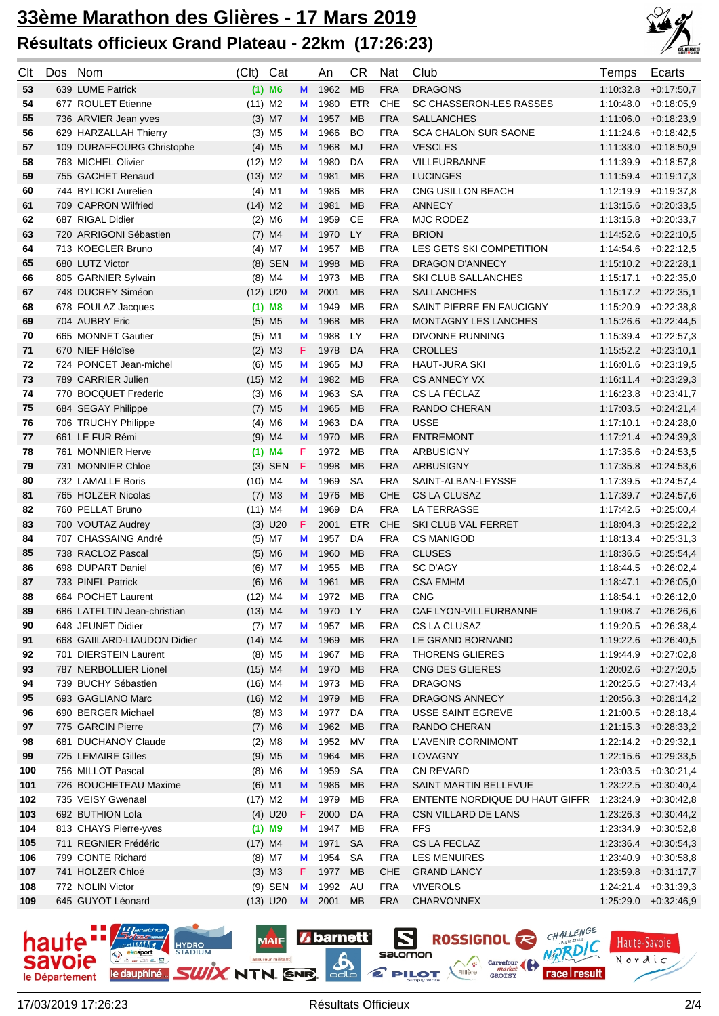

| Clt | Dos Nom |                             | (Clt)     | Cat                  |    | An      | CR.        | Nat        | Club                           | Temps     | Ecarts                  |
|-----|---------|-----------------------------|-----------|----------------------|----|---------|------------|------------|--------------------------------|-----------|-------------------------|
| 53  |         | 639 LUME Patrick            |           | $(1)$ M6             | M  | 1962    | <b>MB</b>  | <b>FRA</b> | <b>DRAGONS</b>                 | 1:10:32.8 | $+0.17:50.7$            |
| 54  |         | 677 ROULET Etienne          | $(11)$ M2 |                      | M  | 1980    | <b>ETR</b> | CHE        | SC CHASSERON-LES RASSES        | 1:10:48.0 | $+0.18.05,9$            |
| 55  |         | 736 ARVIER Jean yves        |           | $(3)$ M7             | M  | 1957    | <b>MB</b>  | <b>FRA</b> | <b>SALLANCHES</b>              | 1:11:06.0 | $+0.18:23,9$            |
| 56  |         | 629 HARZALLAH Thierry       |           | $(3)$ M <sub>5</sub> | M  | 1966    | <b>BO</b>  | <b>FRA</b> | <b>SCA CHALON SUR SAONE</b>    | 1:11:24.6 | $+0.18:42.5$            |
| 57  |         | 109 DURAFFOURG Christophe   |           | $(4)$ M <sub>5</sub> | M  | 1968    | MJ         | <b>FRA</b> | <b>VESCLES</b>                 | 1:11:33.0 | $+0.18.50,9$            |
| 58  |         | 763 MICHEL Olivier          | $(12)$ M2 |                      | M  | 1980    | DA         | <b>FRA</b> | <b>VILLEURBANNE</b>            | 1:11:39.9 | $+0.18.57,8$            |
| 59  |         | 755 GACHET Renaud           | $(13)$ M2 |                      | M  | 1981    | <b>MB</b>  | <b>FRA</b> | <b>LUCINGES</b>                | 1:11:59.4 | $+0.19.17,3$            |
| 60  |         | 744 BYLICKI Aurelien        |           | $(4)$ M1             | M  | 1986    | <b>MB</b>  | <b>FRA</b> | CNG USILLON BEACH              | 1:12:19.9 | $+0.19.37,8$            |
| 61  |         | 709 CAPRON Wilfried         | $(14)$ M2 |                      | M  | 1981    | <b>MB</b>  | <b>FRA</b> | <b>ANNECY</b>                  | 1:13:15.6 | $+0.20.33,5$            |
| 62  |         | 687 RIGAL Didier            |           | $(2)$ M6             | M  | 1959    | СE         | <b>FRA</b> | <b>MJC RODEZ</b>               | 1:13:15.8 | $+0.20:33.7$            |
| 63  |         | 720 ARRIGONI Sébastien      |           | $(7)$ M4             | M  | 1970    | <b>LY</b>  | <b>FRA</b> | <b>BRION</b>                   | 1:14:52.6 | $+0.22:10,5$            |
| 64  |         | 713 KOEGLER Bruno           |           | $(4)$ M7             | M  | 1957    | MB         | <b>FRA</b> | LES GETS SKI COMPETITION       | 1:14:54.6 | $+0:22:12,5$            |
| 65  |         | 680 LUTZ Victor             |           | $(8)$ SEN            | M  | 1998    | <b>MB</b>  | <b>FRA</b> | DRAGON D'ANNECY                |           | $1:15:10.2$ +0:22:28,1  |
| 66  |         | 805 GARNIER Sylvain         |           | $(8)$ M4             | M  | 1973    | MB         | <b>FRA</b> | SKI CLUB SALLANCHES            | 1:15:17.1 | $+0.22:35,0$            |
| 67  |         | 748 DUCREY Siméon           |           | $(12)$ U20           | M  | 2001    | <b>MB</b>  | <b>FRA</b> | <b>SALLANCHES</b>              |           | $1:15:17.2$ +0:22:35,1  |
| 68  |         | 678 FOULAZ Jacques          |           | $(1)$ M8             | M  | 1949    | <b>MB</b>  | <b>FRA</b> | SAINT PIERRE EN FAUCIGNY       | 1:15:20.9 | $+0.22:38,8$            |
| 69  |         | 704 AUBRY Eric              |           | $(5)$ M <sub>5</sub> | M  | 1968    | <b>MB</b>  | <b>FRA</b> | <b>MONTAGNY LES LANCHES</b>    | 1:15:26.6 | $+0.22:44,5$            |
| 70  |         | 665 MONNET Gautier          |           | $(5)$ M1             | M  | 1988    | LY         | <b>FRA</b> | <b>DIVONNE RUNNING</b>         | 1:15:39.4 | $+0.22:57.3$            |
| 71  |         | 670 NIEF Héloïse            |           | $(2)$ M3             | F. | 1978    | DA         | <b>FRA</b> | <b>CROLLES</b>                 |           | $1:15:52.2$ +0:23:10,1  |
| 72  |         | 724 PONCET Jean-michel      |           | $(6)$ M <sub>5</sub> | M  | 1965    | MJ         | <b>FRA</b> | <b>HAUT-JURA SKI</b>           | 1:16:01.6 | $+0.23:19.5$            |
| 73  |         | 789 CARRIER Julien          | $(15)$ M2 |                      | M  | 1982    | <b>MB</b>  | <b>FRA</b> | <b>CS ANNECY VX</b>            | 1:16:11.4 | $+0.23:29.3$            |
| 74  |         | 770 BOCQUET Frederic        |           | $(3)$ M6             | M  | 1963    | <b>SA</b>  | <b>FRA</b> | CS LA FÉCLAZ                   | 1:16:23.8 | $+0.23:41,7$            |
| 75  |         | 684 SEGAY Philippe          |           | $(7)$ M <sub>5</sub> | M  | 1965    | <b>MB</b>  | <b>FRA</b> | <b>RANDO CHERAN</b>            | 1:17:03.5 | $+0.24:21.4$            |
| 76  |         | 706 TRUCHY Philippe         |           | $(4)$ M6             | M  | 1963    | DA         | <b>FRA</b> | <b>USSE</b>                    | 1:17:10.1 | $+0.24:28,0$            |
| 77  |         | 661 LE FUR Rémi             |           | $(9)$ M4             | M  | 1970    | <b>MB</b>  | <b>FRA</b> | <b>ENTREMONT</b>               | 1:17:21.4 | $+0.24.39,3$            |
| 78  |         | 761 MONNIER Herve           |           | $(1)$ M4             | F. | 1972    | <b>MB</b>  | <b>FRA</b> | <b>ARBUSIGNY</b>               |           | $1:17:35.6$ +0.24:53,5  |
| 79  |         | 731 MONNIER Chloe           |           | $(3)$ SEN            | F  | 1998    | <b>MB</b>  | <b>FRA</b> | <b>ARBUSIGNY</b>               | 1:17:35.8 | $+0.24.53,6$            |
| 80  |         | 732 LAMALLE Boris           | $(10)$ M4 |                      | M  | 1969    | <b>SA</b>  | <b>FRA</b> | SAINT-ALBAN-LEYSSE             | 1:17:39.5 | $+0.24.57,4$            |
| 81  |         | 765 HOLZER Nicolas          |           | $(7)$ M3             | M  | 1976    | <b>MB</b>  | <b>CHE</b> | CS LA CLUSAZ                   | 1:17:39.7 | $+0.24.57,6$            |
| 82  |         | 760 PELLAT Bruno            | $(11)$ M4 |                      | М  | 1969    | DA         | <b>FRA</b> | <b>LA TERRASSE</b>             | 1:17:42.5 | $+0.25:00,4$            |
| 83  |         | 700 VOUTAZ Audrey           |           | $(3)$ U20            | F. | 2001    | <b>ETR</b> | <b>CHE</b> | SKI CLUB VAL FERRET            | 1:18:04.3 | $+0.25:22,2$            |
| 84  |         | 707 CHASSAING André         |           | $(5)$ M7             | М  | 1957    | DA         | <b>FRA</b> | <b>CS MANIGOD</b>              | 1:18:13.4 | $+0.25:31,3$            |
| 85  |         | 738 RACLOZ Pascal           |           | $(5)$ M6             | M  | 1960    | <b>MB</b>  | <b>FRA</b> | <b>CLUSES</b>                  | 1:18:36.5 | $+0.25.54,4$            |
| 86  |         | 698 DUPART Daniel           |           | $(6)$ M7             | М  | 1955    | <b>MB</b>  | <b>FRA</b> | <b>SC D'AGY</b>                | 1:18:44.5 | $+0.26:02,4$            |
| 87  |         | 733 PINEL Patrick           |           | $(6)$ M6             | M  | 1961    | <b>MB</b>  | <b>FRA</b> | <b>CSA EMHM</b>                | 1:18:47.1 | $+0.26:05,0$            |
| 88  |         | 664 POCHET Laurent          | $(12)$ M4 |                      | M  | 1972    | MB         | <b>FRA</b> | <b>CNG</b>                     | 1:18:54.1 | $+0.26:12.0$            |
| 89  |         | 686 LATELTIN Jean-christian | $(13)$ M4 |                      | M  | 1970 LY |            | <b>FRA</b> | CAF LYON-VILLEURBANNE          |           | $1:19:08.7$ +0:26:26,6  |
| 90  |         | 648 JEUNET Didier           |           | $(7)$ M7             | M  | 1957 MB |            | <b>FRA</b> | CS LA CLUSAZ                   |           | $1:19:20.5$ +0:26:38,4  |
| 91  |         | 668 GAIILARD-LIAUDON Didier | $(14)$ M4 |                      | M  | 1969    | <b>MB</b>  | <b>FRA</b> | LE GRAND BORNAND               |           | 1:19:22.6 +0:26:40,5    |
| 92  |         | 701 DIERSTEIN Laurent       |           | $(8)$ M <sub>5</sub> | M  | 1967    | МB         | <b>FRA</b> | <b>THORENS GLIERES</b>         |           | 1:19:44.9 +0:27:02,8    |
| 93  |         | 787 NERBOLLIER Lionel       | $(15)$ M4 |                      | M  | 1970    | <b>MB</b>  | <b>FRA</b> | CNG DES GLIERES                |           | $1:20:02.6$ +0:27:20,5  |
| 94  |         | 739 BUCHY Sébastien         | $(16)$ M4 |                      | M  | 1973    | МB         | <b>FRA</b> | <b>DRAGONS</b>                 |           | $1:20:25.5$ +0:27:43,4  |
| 95  |         | 693 GAGLIANO Marc           | $(16)$ M2 |                      | M  | 1979    | MB         | <b>FRA</b> | DRAGONS ANNECY                 |           | $1:20:56.3 + 0:28:14.2$ |
| 96  |         | 690 BERGER Michael          |           | $(8)$ M3             | M  | 1977    | DA         | <b>FRA</b> | USSE SAINT EGREVE              |           | $1:21:00.5$ +0:28:18,4  |
| 97  |         | 775 GARCIN Pierre           |           | $(7)$ M6             | M  | 1962    | <b>MB</b>  | <b>FRA</b> | RANDO CHERAN                   |           | $1:21:15.3$ +0:28:33,2  |
| 98  |         | 681 DUCHANOY Claude         |           | $(2)$ M <sub>8</sub> | M  | 1952 MV |            | <b>FRA</b> | L'AVENIR CORNIMONT             |           | $1:22:14.2$ +0:29:32,1  |
| 99  |         | 725 LEMAIRE Gilles          |           | $(9)$ M <sub>5</sub> | M  | 1964    | <b>MB</b>  | <b>FRA</b> | LOVAGNY                        |           | 1:22:15.6 +0:29:33,5    |
| 100 |         | 756 MILLOT Pascal           |           | $(8)$ M6             | M  | 1959    | SA         | <b>FRA</b> | <b>CN REVARD</b>               |           | $1:23:03.5$ +0:30:21,4  |
| 101 |         | 726 BOUCHETEAU Maxime       |           | $(6)$ M1             | M  | 1986    | <b>MB</b>  | <b>FRA</b> | SAINT MARTIN BELLEVUE          |           | $1:23:22.5$ +0:30:40,4  |
| 102 |         | 735 VEISY Gwenael           | $(17)$ M2 |                      | M  | 1979    | MB         | <b>FRA</b> | ENTENTE NORDIQUE DU HAUT GIFFR | 1:23:24.9 | $+0:30:42,8$            |
| 103 |         | 692 BUTHION Lola            |           | $(4)$ U20            | F. | 2000    | DA         | <b>FRA</b> | CSN VILLARD DE LANS            | 1:23:26.3 | $+0.30.44,2$            |
| 104 |         | 813 CHAYS Pierre-yves       |           | $(1)$ M9             | M  | 1947 MB |            | <b>FRA</b> | <b>FFS</b>                     | 1:23:34.9 | $+0.30.52,8$            |
| 105 |         | 711 REGNIER Frédéric        | $(17)$ M4 |                      | M  | 1971    | <b>SA</b>  | <b>FRA</b> | CS LA FECLAZ                   | 1:23:36.4 | $+0.30.54,3$            |
| 106 |         | 799 CONTE Richard           |           | $(8)$ M7             | M  | 1954    | SA         | <b>FRA</b> | <b>LES MENUIRES</b>            | 1:23:40.9 | +0:30:58,8              |
| 107 |         | 741 HOLZER Chloé            |           | $(3)$ M3             | F. | 1977 MB |            | <b>CHE</b> | <b>GRAND LANCY</b>             | 1:23:59.8 | $+0.31:17,7$            |
| 108 |         | 772 NOLIN Victor            |           | $(9)$ SEN            | M  | 1992 AU |            | <b>FRA</b> | <b>VIVEROLS</b>                |           | $1:24:21.4$ +0:31:39,3  |
| 109 |         | 645 GUYOT Léonard           |           | $(13)$ U20           | M  | 2001    | <b>MB</b>  | <b>FRA</b> | CHARVONNEX                     |           | $1:25:29.0 +0:32:46,9$  |

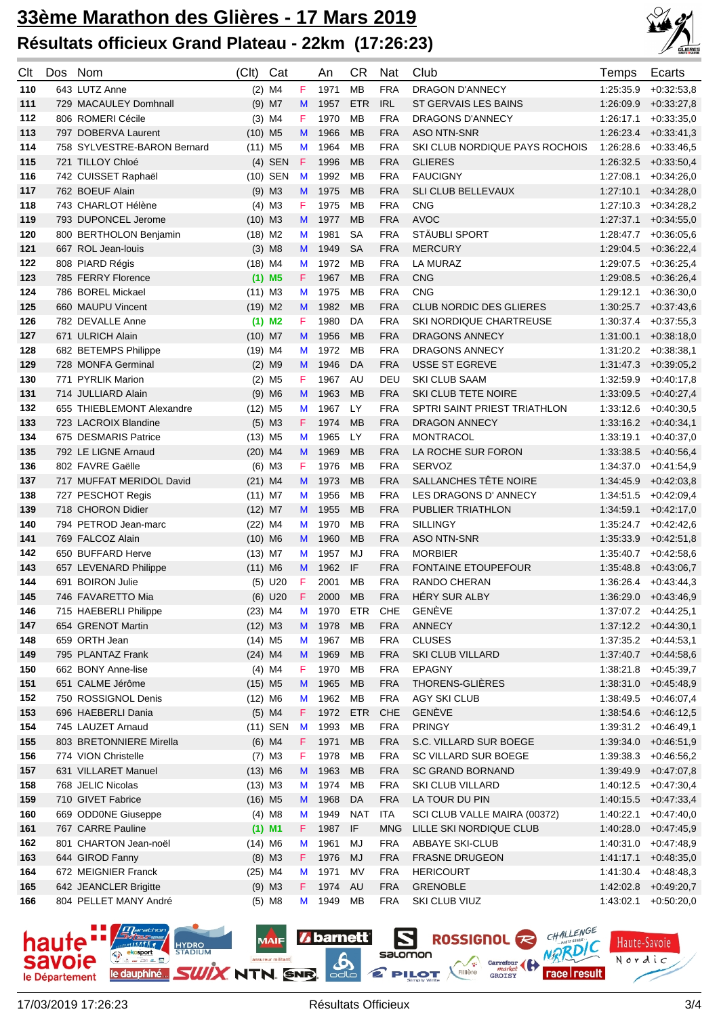

| Clt | Dos | Nom                         | (Clt)                 | Cat                  |    | An   | CR         | Nat        | Club                           | Temps     | Ecarts                 |
|-----|-----|-----------------------------|-----------------------|----------------------|----|------|------------|------------|--------------------------------|-----------|------------------------|
| 110 |     | 643 LUTZ Anne               |                       | $(2)$ M4             | F  | 1971 | <b>MB</b>  | <b>FRA</b> | DRAGON D'ANNECY                | 1:25:35.9 | $+0.32:53,8$           |
| 111 |     | 729 MACAULEY Domhnall       |                       | $(9)$ M7             | M  | 1957 | <b>ETR</b> | <b>IRL</b> | ST GERVAIS LES BAINS           | 1:26:09.9 | $+0.33:27,8$           |
| 112 |     | 806 ROMERI Cécile           |                       | $(3)$ M4             | F  | 1970 | MB         | <b>FRA</b> | DRAGONS D'ANNECY               | 1:26:17.1 | $+0.33.35,0$           |
| 113 |     | 797 DOBERVA Laurent         | $(10)$ M <sub>5</sub> |                      | M  | 1966 | <b>MB</b>  | <b>FRA</b> | <b>ASO NTN-SNR</b>             | 1:26:23.4 | $+0.33:41,3$           |
| 114 |     | 758 SYLVESTRE-BARON Bernard | $(11)$ M <sub>5</sub> |                      | M  | 1964 | <b>MB</b>  | <b>FRA</b> | SKI CLUB NORDIQUE PAYS ROCHOIS | 1:26:28.6 | $+0.33.46.5$           |
| 115 |     | 721 TILLOY Chloé            |                       | $(4)$ SEN            | F  | 1996 | <b>MB</b>  | <b>FRA</b> | <b>GLIERES</b>                 | 1:26:32.5 | $+0.33.50,4$           |
| 116 |     | 742 CUISSET Raphaël         |                       | (10) SEN             | M  | 1992 | <b>MB</b>  | <b>FRA</b> | <b>FAUCIGNY</b>                | 1:27:08.1 | $+0.34:26,0$           |
| 117 |     | 762 BOEUF Alain             |                       | $(9)$ M3             | M  | 1975 | <b>MB</b>  | <b>FRA</b> | SLI CLUB BELLEVAUX             | 1:27:10.1 | $+0.34:28,0$           |
| 118 |     | 743 CHARLOT Hélène          |                       | $(4)$ M3             | F  | 1975 | <b>MB</b>  | <b>FRA</b> | <b>CNG</b>                     | 1:27:10.3 | $+0.34:28,2$           |
| 119 |     | 793 DUPONCEL Jerome         | $(10)$ M3             |                      | M  | 1977 | <b>MB</b>  | <b>FRA</b> | <b>AVOC</b>                    | 1:27:37.1 | $+0.34:55,0$           |
| 120 |     | 800 BERTHOLON Benjamin      | $(18)$ M2             |                      | M  | 1981 | SA         | <b>FRA</b> | STÄUBLI SPORT                  | 1:28:47.7 | $+0.36:05,6$           |
| 121 |     | 667 ROL Jean-louis          |                       | $(3)$ M <sub>8</sub> | M  | 1949 | <b>SA</b>  | <b>FRA</b> | <b>MERCURY</b>                 | 1:29:04.5 | $+0.36:22,4$           |
| 122 |     | 808 PIARD Régis             | $(18)$ M4             |                      | M  | 1972 | <b>MB</b>  | <b>FRA</b> | LA MURAZ                       | 1:29:07.5 | $+0.36:25,4$           |
| 123 |     | 785 FERRY Florence          |                       | $(1)$ M <sub>5</sub> | F. | 1967 | <b>MB</b>  | <b>FRA</b> | <b>CNG</b>                     | 1:29:08.5 | $+0.36:26,4$           |
| 124 |     | 786 BOREL Mickael           | $(11)$ M3             |                      | M  | 1975 | <b>MB</b>  | <b>FRA</b> | <b>CNG</b>                     | 1:29:12.1 | $+0.36:30,0$           |
| 125 |     | 660 MAUPU Vincent           | $(19)$ M <sub>2</sub> |                      | M  | 1982 | <b>MB</b>  | <b>FRA</b> | <b>CLUB NORDIC DES GLIERES</b> | 1:30:25.7 | $+0.37:43,6$           |
| 126 |     | 782 DEVALLE Anne            |                       | $(1)$ M <sub>2</sub> | F  | 1980 | DA         | <b>FRA</b> | <b>SKI NORDIQUE CHARTREUSE</b> | 1:30:37.4 | $+0.37:55,3$           |
| 127 |     | 671 ULRICH Alain            | $(10)$ M7             |                      | M  | 1956 | <b>MB</b>  | <b>FRA</b> | DRAGONS ANNECY                 | 1:31:00.1 | $+0.38:18,0$           |
| 128 |     | 682 BETEMPS Philippe        | $(19)$ M4             |                      | M  | 1972 | <b>MB</b>  | <b>FRA</b> | DRAGONS ANNECY                 | 1:31:20.2 | $+0.38.38.1$           |
| 129 |     | 728 MONFA Germinal          |                       | $(2)$ M9             | M  | 1946 | DA         | <b>FRA</b> | USSE ST EGREVE                 | 1:31:47.3 | $+0.39:05,2$           |
| 130 |     | 771 PYRLIK Marion           |                       | $(2)$ M <sub>5</sub> | F  | 1967 | AU         | DEU        | <b>SKI CLUB SAAM</b>           | 1:32:59.9 | $+0.40:17,8$           |
| 131 |     | 714 JULLIARD Alain          |                       | $(9)$ M6             | M  | 1963 | <b>MB</b>  | <b>FRA</b> | SKI CLUB TETE NOIRE            | 1:33:09.5 | $+0.40:27,4$           |
| 132 |     | 655 THIEBLEMONT Alexandre   | $(12)$ M <sub>5</sub> |                      | M  | 1967 | LY         | <b>FRA</b> | SPTRI SAINT PRIEST TRIATHLON   | 1:33:12.6 | $+0.40:30,5$           |
| 133 |     | 723 LACROIX Blandine        |                       | $(5)$ M3             | F. | 1974 | <b>MB</b>  | <b>FRA</b> | <b>DRAGON ANNECY</b>           | 1:33:16.2 | $+0.40:34,1$           |
| 134 |     | 675 DESMARIS Patrice        | $(13)$ M <sub>5</sub> |                      | M  | 1965 | LY         | <b>FRA</b> | <b>MONTRACOL</b>               | 1:33:19.1 | $+0.40.37,0$           |
| 135 |     | 792 LE LIGNE Arnaud         | $(20)$ M4             |                      | M  | 1969 | <b>MB</b>  | <b>FRA</b> | LA ROCHE SUR FORON             | 1:33:38.5 | $+0.40.56,4$           |
| 136 |     | 802 FAVRE Gaëlle            |                       | $(6)$ M3             | F  | 1976 | <b>MB</b>  | <b>FRA</b> | <b>SERVOZ</b>                  | 1:34:37.0 | $+0.41:54,9$           |
| 137 |     | 717 MUFFAT MERIDOL David    | $(21)$ M4             |                      | M  | 1973 | <b>MB</b>  | <b>FRA</b> | SALLANCHES TÊTE NOIRE          | 1:34:45.9 | $+0.42:03,8$           |
| 138 |     | 727 PESCHOT Regis           | $(11)$ M7             |                      | M  | 1956 | <b>MB</b>  | <b>FRA</b> | LES DRAGONS D' ANNECY          | 1:34:51.5 | $+0.42:09,4$           |
| 139 |     | 718 CHORON Didier           | $(12)$ M7             |                      | M  | 1955 | <b>MB</b>  | <b>FRA</b> | PUBLIER TRIATHLON              | 1:34:59.1 | $+0.42:17,0$           |
| 140 |     | 794 PETROD Jean-marc        | $(22)$ M4             |                      | M  | 1970 | <b>MB</b>  | <b>FRA</b> | <b>SILLINGY</b>                | 1:35:24.7 | $+0.42:42,6$           |
| 141 |     | 769 FALCOZ Alain            | $(10)$ M6             |                      | M  | 1960 | <b>MB</b>  | <b>FRA</b> | <b>ASO NTN-SNR</b>             | 1:35:33.9 | $+0.42:51,8$           |
| 142 |     | 650 BUFFARD Herve           | $(13)$ M7             |                      | M  | 1957 | MJ         | <b>FRA</b> | <b>MORBIER</b>                 | 1:35:40.7 | $+0.42:58,6$           |
| 143 |     | 657 LEVENARD Philippe       | $(11)$ M6             |                      | M  | 1962 | IF         | <b>FRA</b> | <b>FONTAINE ETOUPEFOUR</b>     | 1:35:48.8 | $+0.43.06,7$           |
| 144 |     | 691 BOIRON Julie            |                       | $(5)$ U20            | F  | 2001 | <b>MB</b>  | <b>FRA</b> | <b>RANDO CHERAN</b>            | 1:36:26.4 | $+0.43:44,3$           |
| 145 |     | 746 FAVARETTO Mia           |                       | $(6)$ U20            | F  | 2000 | <b>MB</b>  | <b>FRA</b> | HÉRY SUR ALBY                  | 1:36:29.0 | $+0.43.46,9$           |
| 146 |     | 715 HAEBERLI Philippe       | $(23)$ M4             |                      | M  | 1970 | ETR        | <b>CHE</b> | <b>GENÈVE</b>                  |           | $1:37:07.2$ +0:44:25,1 |
| 147 |     | 654 GRENOT Martin           | $(12)$ M3             |                      | M  | 1978 | <b>MB</b>  | <b>FRA</b> | ANNECY                         |           | $1:37:12.2$ +0:44:30,1 |
| 148 |     | 659 ORTH Jean               | $(14)$ M <sub>5</sub> |                      | M  | 1967 | MB         | <b>FRA</b> | <b>CLUSES</b>                  | 1:37:35.2 | $+0.44.53,1$           |
| 149 |     | 795 PLANTAZ Frank           | $(24)$ M4             |                      | M  | 1969 | <b>MB</b>  | <b>FRA</b> | SKI CLUB VILLARD               | 1:37:40.7 | $+0.44.58,6$           |
| 150 |     | 662 BONY Anne-lise          |                       | $(4)$ M4             | F. | 1970 | MB         | <b>FRA</b> | EPAGNY                         | 1:38:21.8 | $+0.45.39,7$           |
| 151 |     | 651 CALME Jérôme            | $(15)$ M5             |                      | M  | 1965 | <b>MB</b>  | <b>FRA</b> | THORENS-GLIÈRES                | 1:38:31.0 | $+0.45:48,9$           |
| 152 |     | 750 ROSSIGNOL Denis         | $(12)$ M6             |                      | M  | 1962 | MB         | <b>FRA</b> | <b>AGY SKI CLUB</b>            | 1:38:49.5 | $+0.46.07,4$           |
| 153 |     | 696 HAEBERLI Dania          |                       | $(5)$ M4             | F. | 1972 | <b>ETR</b> | CHE        | <b>GENÈVE</b>                  | 1:38:54.6 | $+0.46:12,5$           |
| 154 |     | 745 LAUZET Arnaud           |                       | $(11)$ SEN           | M  | 1993 | MB         | <b>FRA</b> | <b>PRINGY</b>                  | 1:39:31.2 | $+0.46:49,1$           |
| 155 |     | 803 BRETONNIERE Mirella     |                       | $(6)$ M4             | F. | 1971 | <b>MB</b>  | <b>FRA</b> | S.C. VILLARD SUR BOEGE         | 1:39:34.0 | $+0.46.51,9$           |
| 156 |     | 774 VION Christelle         |                       | $(7)$ M3             | F  | 1978 | MB         | <b>FRA</b> | SC VILLARD SUR BOEGE           | 1:39:38.3 | $+0.46.56,2$           |
| 157 |     | 631 VILLARET Manuel         | $(13)$ M6             |                      | M  | 1963 | <b>MB</b>  | <b>FRA</b> | <b>SC GRAND BORNAND</b>        | 1:39:49.9 | $+0.47:07,8$           |
| 158 |     | 768 JELIC Nicolas           | $(13)$ M3             |                      | M  | 1974 | MB         | <b>FRA</b> | SKI CLUB VILLARD               | 1:40:12.5 | $+0.47:30,4$           |
| 159 |     | 710 GIVET Fabrice           | $(16)$ M <sub>5</sub> |                      | M  | 1968 | DA         | <b>FRA</b> | LA TOUR DU PIN                 | 1:40:15.5 | $+0.47:33,4$           |
| 160 |     | 669 ODD0NE Giuseppe         |                       | $(4)$ M <sub>8</sub> | M  | 1949 | <b>NAT</b> | <b>ITA</b> | SCI CLUB VALLE MAIRA (00372)   | 1:40:22.1 | $+0.47:40,0$           |
| 161 |     | 767 CARRE Pauline           |                       | $(1)$ M1             | F. | 1987 | IF         | <b>MNG</b> | LILLE SKI NORDIQUE CLUB        | 1:40:28.0 | $+0.47:45,9$           |
| 162 |     | 801 CHARTON Jean-noël       | $(14)$ M6             |                      | M  | 1961 | MJ         | <b>FRA</b> | <b>ABBAYE SKI-CLUB</b>         | 1:40:31.0 | $+0.47:48,9$           |
| 163 |     | 644 GIROD Fanny             |                       | $(8)$ M3             | F. | 1976 | <b>MJ</b>  | <b>FRA</b> | <b>FRASNE DRUGEON</b>          | 1:41:17.1 | $+0.48.35,0$           |
| 164 |     | 672 MEIGNIER Franck         | $(25)$ M4             |                      | M  | 1971 | <b>MV</b>  | <b>FRA</b> | <b>HERICOURT</b>               | 1:41:30.4 | $+0.48.48,3$           |
| 165 |     | 642 JEANCLER Brigitte       |                       | $(9)$ M3             | F. | 1974 | <b>AU</b>  | <b>FRA</b> | <b>GRENOBLE</b>                | 1:42:02.8 | $+0.49:20,7$           |
| 166 |     | 804 PELLET MANY André       |                       | $(5)$ M <sub>8</sub> | M  | 1949 | MB         | <b>FRA</b> | SKI CLUB VIUZ                  | 1:43:02.1 | $+0.50:20,0$           |